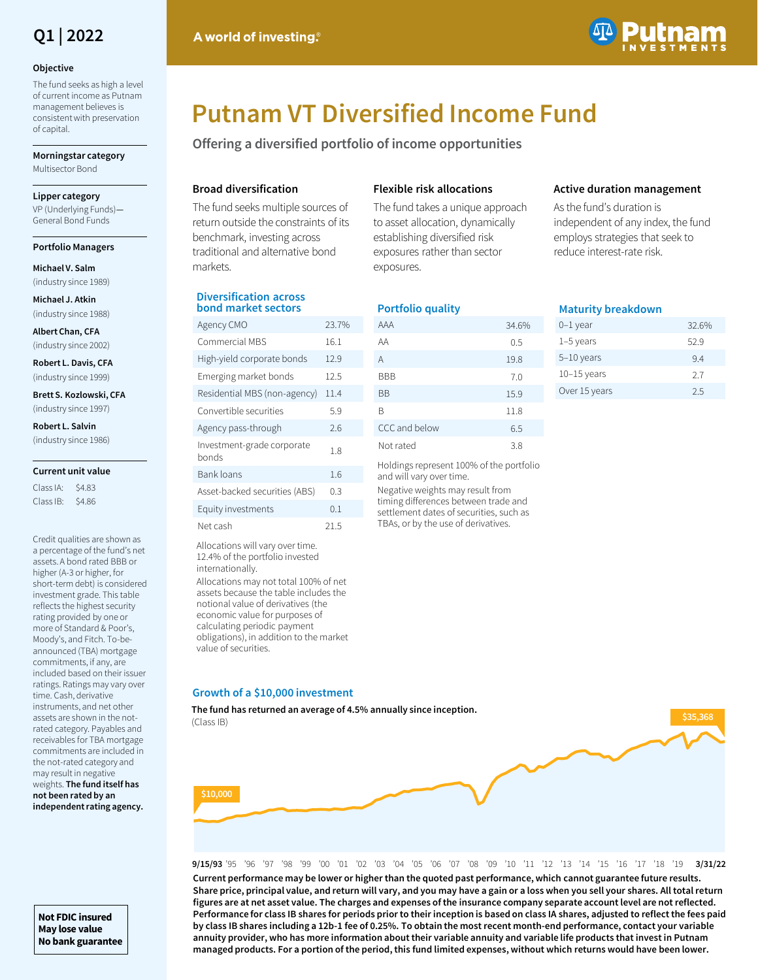

#### **Objective**

The fund seeks as high a level of current income as Putnam management believes is consistent with preservation of capital.

**Morningstar category**  Multisector Bond

#### **Lipper category**

VP (Underlying Funds)— General Bond Funds

#### **Portfolio Managers**

**Michael V. Salm**  (industry since 1989)

**Michael J. Atkin**  (industry since 1988)

**Albert Chan, CFA**

(industry since 2002) **Robert L. Davis, CFA** 

(industry since 1999)

**Brett S. Kozlowski, CFA**  (industry since 1997)

**Robert L. Salvin**

(industry since 1986)

#### **Current unit value**

Class IA: \$4.83 Class IB: \$4.86

Credit qualities are shown as a percentage of the fund's net assets. A bond rated BBB or higher (A-3 or higher, for short-term debt) is considered investment grade. This table reflects the highest security rating provided by one or more of Standard & Poor's, Moody's, and Fitch. To-beannounced (TBA) mortgage commitments, if any, are included based on their issuer ratings. Ratings may vary over time. Cash, derivative instruments, and net other assets are shown in the notrated category. Payables and receivables for TBA mortgage commitments are included in the not-rated category and may result in negative weights. **The fund itself has not been rated by an independent rating agency.** 

**Not FDIC insured May lose value No bank guarantee**

### A world of investing.



# **Putnam VT Diversified Income Fund**

**Offering a diversified portfolio of income opportunities**

#### **Broad diversification**

**Diversification across bond market sectors**

Bank loans 1.6 Asset-backed securities (ABS) 0.3 Equity investments 0.1 Net cash 21.5 Allocations will vary over time. 12.4% of the portfolio invested

Allocations may not total 100% of net assets because the table includes the notional value of derivatives (the economic value for purposes of calculating periodic payment obligations), in addition to the market

internationally.

value of securities.

The fund seeks multiple sources of return outside the constraints of its benchmark, investing across traditional and alternative bond markets.

#### **Flexible risk allocations**

The fund takes a unique approach to asset allocation, dynamically establishing diversified risk exposures rather than sector exposures.

#### **Portfolio quality**

| Agency CMO                   | 23.7% | AAA                                          | 34.6% |
|------------------------------|-------|----------------------------------------------|-------|
| Commercial MBS               | 16.1  | AA                                           | 0.5   |
| High-yield corporate bonds   | 12.9  | A                                            | 19.8  |
| Emerging market bonds        | 12.5  | <b>BBB</b>                                   | 7.0   |
| Residential MBS (non-agency) | 11.4  | <b>BB</b>                                    | 15.9  |
| Convertible securities       | 5.9   | B                                            | 11.8  |
| Agency pass-through          | 2.6   | CCC and below                                | 6.5   |
| Investment-grade corporate   | 1.8   | Not rated                                    | 3.8   |
| bonds                        |       | $Ll$ oldings ronrosont $1000k$ of the nortfo |       |

Holdings represent 100% of the portfolio and will vary over time. Negative weights may result from

timing differences between trade and settlement dates of securities, such as TBAs, or by the use of derivatives.

#### **Active duration management**

As the fund's duration is independent of any index, the fund employs strategies that seek to reduce interest-rate risk.

#### **Maturity breakdown**

| 0-1 year      | 32.6% |
|---------------|-------|
| 1-5 years     | 52.9  |
| $5-10$ years  | 94    |
| $10-15$ years | 27    |
| Over 15 years | 25    |
|               |       |

## **Growth of a \$10,000 investment**

**The fund has returned an average of 4.5% annually since inception.** (Class IB)



9/15/93 '95 '96 '97 '98 '99 '00 '01 '02 '03 '04 '05 '06 '07 '08 '09 '10 '11 '12 '13 '14 '15 '16 '17 '18 '19 3/31/2 **3/31/22 Current performance may be lower or higher than the quoted past performance, which cannot guarantee future results. Share price, principal value, and return will vary, and you may have a gain or a loss when you sell your shares. All total return figures are at net asset value. The charges and expenses of the insurance company separate account level are not reflected. Performance for class IB shares for periods prior to their inception is based on class IA shares, adjusted to reflect the fees paid by class IB shares including a 12b-1 fee of 0.25%. To obtain the most recent month-end performance, contact your variable annuity provider, who has more information about their variable annuity and variable life products that invest in Putnam managed products. For a portion of the period, this fund limited expenses, without which returns would have been lower.**